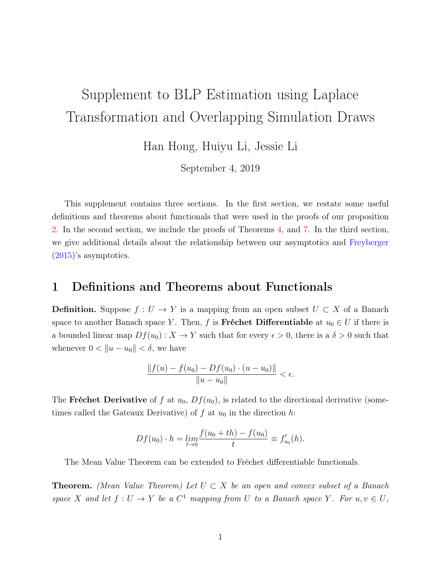# <span id="page-0-1"></span><span id="page-0-0"></span>Supplement to BLP Estimation using Laplace Transformation and Overlapping Simulation Draws

Han Hong, Huiyu Li, Jessie Li

September 4, 2019

This supplement contains three sections. In the first section, we restate some useful definitions and theorems about functionals that were used in the proofs of our proposition 2. In the second section, we include the proofs of Theorems 4, and 7. In the third section, we give additional details about the relationship between our asymptotics and [Freyberger](#page-10-0) [\(2015\)](#page-10-0)'s asymptotics.

### 1 Definitions and Theorems about Functionals

**Definition.** Suppose  $f: U \to Y$  is a mapping from an open subset  $U \subset X$  of a Banach space to another Banach space Y. Then, f is Fréchet Differentiable at  $u_0 \in U$  if there is a bounded linear map  $Df(u_0): X \to Y$  such that for every  $\epsilon > 0$ , there is a  $\delta > 0$  such that whenever  $0 < ||u - u_0|| < \delta$ , we have

$$
\frac{\|f(u) - f(u_0) - Df(u_0) \cdot (u - u_0)\|}{\|u - u_0\|} < \epsilon.
$$

The Fréchet Derivative of f at  $u_0$ ,  $Df(u_0)$ , is related to the directional derivative (sometimes called the Gateaux Derivative) of f at  $u_0$  in the direction h:

$$
Df(u_0) \cdot h = \lim_{t \to 0} \frac{f(u_0 + th) - f(u_0)}{t} \equiv f'_{u_0}(h).
$$

The Mean Value Theorem can be extended to Fréchet differentiable functionals.

**Theorem.** (Mean Value Theorem) Let  $U \subset X$  be an open and convex subset of a Banach space X and let  $f: U \to Y$  be a  $C^1$  mapping from U to a Banach space Y. For  $u, v \in U$ ,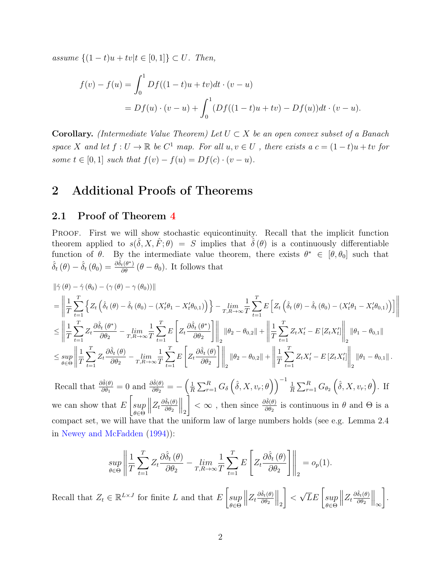<span id="page-1-0"></span>assume  ${(1 - t)u + tv|t ∈ [0, 1]} ⊂ U$ . Then,

$$
f(v) - f(u) = \int_0^1 Df((1-t)u + tv)dt \cdot (v - u)
$$
  
=  $Df(u) \cdot (v - u) + \int_0^1 (Df((1-t)u + tv) - Df(u))dt \cdot (v - u).$ 

**Corollary.** (Intermediate Value Theorem) Let  $U \subset X$  be an open convex subset of a Banach space X and let  $f: U \to \mathbb{R}$  be  $C^1$  map. For all  $u, v \in U$ , there exists a  $c = (1-t)u + tv$  for some  $t \in [0, 1]$  such that  $f(v) - f(u) = Df(c) \cdot (v - u)$ .

## 2 Additional Proofs of Theorems

#### 2.1 Proof of Theorem [4](#page-0-0)

Proof. First we will show stochastic equicontinuity. Recall that the implicit function theorem applied to  $s(\hat{\delta}, X, \hat{F}; \theta) = S$  implies that  $\hat{\delta}(\theta)$  is a continuously differentiable function of  $\theta$ . By the intermediate value theorem, there exists  $\theta^* \in [\theta, \theta_0]$  such that  $\hat{\delta}_t(\theta) - \hat{\delta}_t(\theta_0) = \frac{\partial \hat{\delta}_t(\theta^*)}{\partial \theta} (\theta - \theta_0)$ . It follows that

$$
\begin{split} &\left\|\hat{\gamma}\left(\theta\right)-\hat{\gamma}\left(\theta_{0}\right)-\left(\gamma\left(\theta\right)-\gamma\left(\theta_{0}\right)\right)\right\| \\ &=\left\|\frac{1}{T}\sum_{t=1}^{T}\left\{Z_{t}\left(\hat{\delta}_{t}\left(\theta\right)-\hat{\delta}_{t}\left(\theta_{0}\right)-\left(X_{t}'\theta_{1}-X_{t}'\theta_{0,1}\right)\right)\right\}-\min_{T,R\rightarrow\infty}\frac{1}{T}\sum_{t=1}^{T}E\left[Z_{t}\left(\hat{\delta}_{t}\left(\theta\right)-\hat{\delta}_{t}\left(\theta_{0}\right)-\left(X_{t}'\theta_{1}-X_{t}'\theta_{0,1}\right)\right)\right]\right\| \\ &\leq\left\|\frac{1}{T}\sum_{t=1}^{T}Z_{t}\frac{\partial\hat{\delta}_{t}\left(\theta^{*}\right)}{\partial\theta_{2}}-\min_{T,R\rightarrow\infty}\frac{1}{T}\sum_{t=1}^{T}E\left[Z_{t}\frac{\partial\hat{\delta}_{t}\left(\theta^{*}\right)}{\partial\theta_{2}}\right]\right\|_{2}\left\|\theta_{2}-\theta_{0,2}\right\|+\left\|\frac{1}{T}\sum_{t=1}^{T}Z_{t}X_{t}'-E\left[Z_{t}X_{t}'\right]\right\|_{2}\left\|\theta_{1}-\theta_{0,1}\right\| \\ &\leq\sup_{\theta\in\Theta}\left\|\frac{1}{T}\sum_{t=1}^{T}Z_{t}\frac{\partial\hat{\delta}_{t}\left(\theta\right)}{\partial\theta_{2}}-\min_{T,R\rightarrow\infty}\frac{1}{T}\sum_{t=1}^{T}E\left[Z_{t}\frac{\partial\hat{\delta}_{t}\left(\theta\right)}{\partial\theta_{2}}\right]\right\|_{2}\left\|\theta_{2}-\theta_{0,2}\right\|+\left\|\frac{1}{T}\sum_{t=1}^{T}Z_{t}X_{t}'-E\left[Z_{t}X_{t}'\right]\right\|_{2}\left\|\theta_{1}-\theta_{0,1}\right\|. \end{split}
$$

Recall that  $\frac{\partial \hat{\delta}(\theta)}{\partial \theta_1} = 0$  and  $\frac{\partial \hat{\delta}(\theta)}{\partial \theta_2} = -\left(\frac{1}{R}\right)$  $\frac{1}{R}\sum_{r=1}^R G_\delta\left(\hat{\delta},X,v_r;\theta\right)\Big)^{-1} \frac{1}{R}$  $\frac{1}{R} \sum_{r=1}^{R} G_{\theta_2} \left( \hat{\delta}, X, v_r; \theta \right)$ . If we can show that  $E$  $\lceil$ sup θ∈Θ  $\begin{array}{c} \begin{array}{c} \begin{array}{c} \begin{array}{c} \end{array}\\ \end{array} \end{array} \end{array}$  $Z_t \frac{\partial \hat{\delta}_t(\theta)}{\partial \theta_2}$  $\partial \theta_2$  $\big\|_2$  $\left\{ \right. < \infty$ , then since  $\frac{\partial \hat{\delta}(\theta)}{\partial \theta_2}$  is continuous in  $\theta$  and  $\Theta$  is a compact set, we will have that the uniform law of large numbers holds (see e.g. Lemma 2.4 in [Newey and McFadden](#page-10-1) [\(1994\)](#page-10-1)):

$$
\sup_{\theta \in \Theta} \left\| \frac{1}{T} \sum_{t=1}^{T} Z_t \frac{\partial \hat{\delta}_t \left( \theta \right)}{\partial \theta_2} - \lim_{T, R \to \infty} \frac{1}{T} \sum_{t=1}^{T} E\left[ Z_t \frac{\partial \hat{\delta}_t \left( \theta \right)}{\partial \theta_2} \right] \right\|_2 = o_p(1).
$$

Recall that  $Z_t \in \mathbb{R}^{L \times J}$  for finite L and that E  $\lceil$ sup θ∈Θ  $\begin{array}{c} \hline \end{array}$  $Z_t \frac{\partial \hat{\delta}_t(\theta)}{\partial \theta_2}$  $\partial \theta_2$  $\big\|_2$ 1  $\lt$  $\sqrt{L}E\left[ \sup$ θ∈Θ  $\begin{array}{c} \hline \end{array}$  $Z_t \frac{\partial \hat{\delta}_t(\theta)}{\partial \theta_2}$  $\partial\theta_2$  $\Big\|_\infty$ 1 .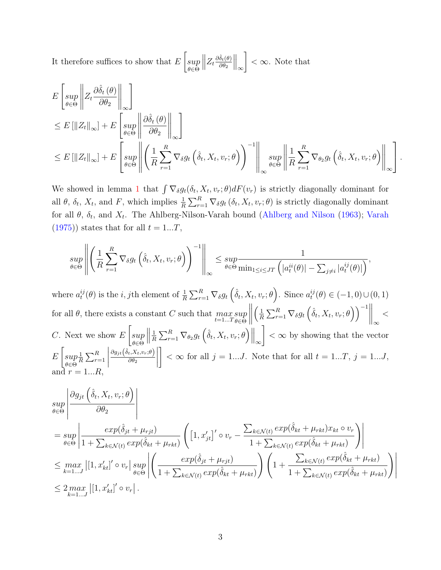<span id="page-2-0"></span>It therefore suffices to show that  $E$  $\sqrt{ }$ sup θ∈Θ  $\begin{array}{c} \begin{array}{c} \begin{array}{c} \begin{array}{c} \end{array}\\ \end{array} \end{array} \end{array}$  $Z_t \frac{\partial \hat{\delta}_t(\theta)}{\partial \theta_2}$  $\partial \theta_2$  $\|_{\infty}$ 1  $< \infty$ . Note that

$$
E\left[\sup_{\theta\in\Theta} \left\| Z_t \frac{\partial \hat{\delta}_t(\theta)}{\partial \theta_2} \right\|_{\infty} \right]
$$
  
\n
$$
\leq E\left[\|Z_t\|_{\infty}\right] + E\left[\sup_{\theta\in\Theta} \left\| \frac{\partial \hat{\delta}_t(\theta)}{\partial \theta_2} \right\|_{\infty} \right]
$$
  
\n
$$
\leq E\left[\|Z_t\|_{\infty}\right] + E\left[\sup_{\theta\in\Theta} \left\| \left(\frac{1}{R} \sum_{r=1}^R \nabla_{\delta} g_t\left(\hat{\delta}_t, X_t, v_r; \theta\right)\right)^{-1} \right\|_{\infty} \sup_{\theta\in\Theta} \left\| \frac{1}{R} \sum_{r=1}^R \nabla_{\theta_2} g_t\left(\hat{\delta}_t, X_t, v_r; \theta\right) \right\|_{\infty} \right].
$$

We showed in lemma [1](#page-0-0) that  $\int \nabla_{\delta} g_t(\delta_t, X_t, v_r; \theta) dF(v_r)$  is strictly diagonally dominant for all  $\theta$ ,  $\delta_t$ ,  $X_t$ , and F, which implies  $\frac{1}{R} \sum_{r=1}^R \nabla_\delta g_t(\delta_t, X_t, v_r; \theta)$  is strictly diagonally dominant for all  $\theta$ ,  $\delta_t$ , and  $X_t$ . The Ahlberg-Nilson-Varah bound [\(Ahlberg and Nilson](#page-10-2) [\(1963\)](#page-10-2); [Varah](#page-10-3)  $(1975)$ ) states that for all  $t = 1...T$ ,

$$
\sup_{\theta \in \Theta} \left\| \left( \frac{1}{R} \sum_{r=1}^{R} \nabla_{\delta} g_t \left( \hat{\delta}_t, X_t, v_r; \theta \right) \right)^{-1} \right\|_{\infty} \leq \sup_{\theta \in \Theta} \frac{1}{\min_{1 \leq i \leq JT} \left( |a_t^{ii}(\theta)| - \sum_{j \neq i} |a_t^{ij}(\theta)| \right)},
$$

where  $a_t^{ij}$  $t_i^{ij}(\theta)$  is the *i*, *j*th element of  $\frac{1}{R} \sum_{r=1}^R \nabla_{\delta} g_t \left( \hat{\delta}_t, X_t, v_r; \theta \right)$ . Since  $a_t^{ij}$  $t^{ij}(\theta) \in (-1,0) \cup (0,1)$ for all  $\theta$ , there exists a constant C such that  $\max_{t=1...T} \sup_{\theta \in \Theta}$ θ∈Θ  $\begin{array}{c} \begin{array}{c} \begin{array}{c} \begin{array}{c} \end{array}\\ \end{array} \end{array} \end{array}$  $\sqrt{1}$  $\frac{1}{R} \sum_{r=1}^{R} \nabla_{\delta} g_t \left( \hat{\delta}_t, X_t, v_r; \theta \right) \right)^{-1} \Bigg\|_{\infty}$  $\lt$  $C$ . Next we show  $E$  $\lceil$ sup θ∈Θ  $\begin{array}{c} \hline \end{array}$ 1  $\frac{1}{R} \sum_{r=1}^{R} \nabla_{\theta_2} g_t \left( \hat{\delta}_t, X_t, v_r; \theta \right) \Big\|_{\infty}$ 1  $<$   $\infty$  by showing that the vector E  $\lceil$ sup θ∈Θ 1  $\frac{1}{R} \sum_{r=1}^{R}$  $\begin{array}{c} \begin{array}{c} \begin{array}{c} \begin{array}{c} \end{array}\\ \end{array} \end{array} \end{array}$  $\partial g_{jt}\big(\hat\delta_t,X_t,v_r;\theta\big)$  $\partial\theta_2$  1  $< \infty$  for all  $j = 1...J$ . Note that for all  $t = 1...T$ ,  $j = 1...J$ , and  $r = 1...R$ 

$$
\sup_{\theta \in \Theta} \left| \frac{\partial g_{jt} \left( \hat{\delta}_t, X_t, v_r; \theta \right)}{\partial \theta_2} \right|
$$
\n
$$
= \sup_{\theta \in \Theta} \left| \frac{exp(\hat{\delta}_{jt} + \mu_{rjt})}{1 + \sum_{k \in \mathcal{N}(t)} exp(\hat{\delta}_{kt} + \mu_{rkt})} \left( \left[ 1, x'_{jt} \right]' \circ v_r - \frac{\sum_{k \in \mathcal{N}(t)} exp(\hat{\delta}_{kt} + \mu_{rkt}) x_{kt} \circ v_r}{1 + \sum_{k \in \mathcal{N}(t)} exp(\hat{\delta}_{kt} + \mu_{rkt})} \right) \right|
$$
\n
$$
\leq \max_{k=1...J} \left| \left[ 1, x'_{kt} \right]' \circ v_r \right| \sup_{\theta \in \Theta} \left| \left( \frac{exp(\hat{\delta}_{jt} + \mu_{rjt})}{1 + \sum_{k \in \mathcal{N}(t)} exp(\hat{\delta}_{kt} + \mu_{rkt})} \right) \left( 1 + \frac{\sum_{k \in \mathcal{N}(t)} exp(\hat{\delta}_{kt} + \mu_{rkt})}{1 + \sum_{k \in \mathcal{N}(t)} exp(\hat{\delta}_{kt} + \mu_{rkt})} \right) \right|
$$
\n
$$
\leq 2 \max_{k=1...J} \left| \left[ 1, x'_{kt} \right]' \circ v_r \right|.
$$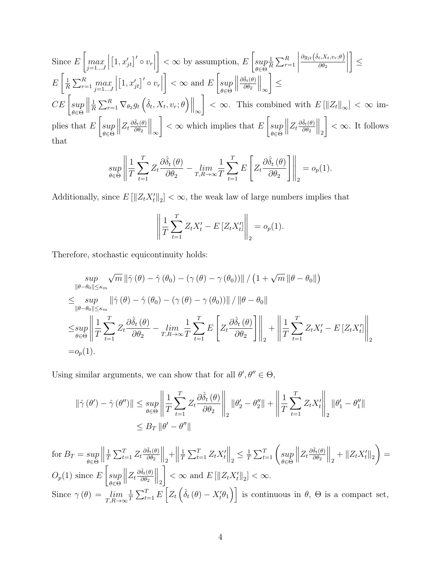Since 
$$
E\left[\max_{j=1...J}\left|\left[1, x'_{jt}\right]'\circ v_r\right|\right] < \infty
$$
 by assumption, 
$$
E\left[\sup_{\theta \in \Theta} \frac{1}{R} \sum_{r=1}^R \left|\frac{\partial g_{jt}(\hat{\delta}_t, X_t, v_r; \theta)}{\partial \theta_2}\right|\right] \leq
$$

$$
E\left[\frac{1}{R} \sum_{r=1}^R \max_{j=1...J} \left|\left[1, x'_{jt}\right]'\circ v_r\right|\right] < \infty
$$
 and 
$$
E\left[\sup_{\theta \in \Theta} \left\|\frac{\partial \hat{\delta}_t(\theta)}{\partial \theta_2}\right\|_{\infty}\right] \leq
$$

$$
CE\left[\sup_{\theta \in \Theta} \left\|\frac{1}{R} \sum_{r=1}^R \nabla_{\theta_2} g_t\left(\hat{\delta}_t, X_t, v_r; \theta\right)\right\|_{\infty}\right] < \infty.
$$
 This combined with 
$$
E\left[\left\|Z_t\right\|_{\infty}\right] < \infty
$$
 implies that 
$$
E\left[\sup_{\theta \in \Theta} \left\|Z_t \frac{\partial \hat{\delta}_t(\theta)}{\partial \theta_2}\right\|_{\infty}\right] < \infty
$$
 which implies that 
$$
E\left[\sup_{\theta \in \Theta} \left\|Z_t \frac{\partial \hat{\delta}_t(\theta)}{\partial \theta_2}\right\|_{2}\right] < \infty.
$$
 It follows that

$$
\sup_{\theta \in \Theta} \left\| \frac{1}{T} \sum_{t=1}^T Z_t \frac{\partial \hat{\delta}_t(\theta)}{\partial \theta_2} - \lim_{T, R \to \infty} \frac{1}{T} \sum_{t=1}^T E\left[ Z_t \frac{\partial \hat{\delta}_t(\theta)}{\partial \theta_2} \right] \right\|_2 = o_p(1).
$$

Additionally, since  $E[\|Z_t X_t'\|_2] < \infty$ , the weak law of large numbers implies that

$$
\left\| \frac{1}{T} \sum_{t=1}^{T} Z_t X_t' - E \left[ Z_t X_t' \right] \right\|_2 = o_p(1).
$$

Therefore, stochastic equicontinuity holds:

$$
\sup_{\|\theta-\theta_0\| \le \kappa_m} \sqrt{m} \|\hat{\gamma}(\theta) - \hat{\gamma}(\theta_0) - (\gamma(\theta) - \gamma(\theta_0))\| / (1 + \sqrt{m} \|\theta - \theta_0\|)
$$
  

$$
\le \sup_{\|\theta-\theta_0\| \le \kappa_m} \|\hat{\gamma}(\theta) - \hat{\gamma}(\theta_0) - (\gamma(\theta) - \gamma(\theta_0))\| / \|\theta - \theta_0\|
$$
  

$$
\le \sup_{\theta \in \Theta} \left\| \frac{1}{T} \sum_{t=1}^T Z_t \frac{\partial \hat{\delta}_t(\theta)}{\partial \theta_2} - \lim_{T, R \to \infty} \frac{1}{T} \sum_{t=1}^T E \left[ Z_t \frac{\partial \hat{\delta}_t(\theta)}{\partial \theta_2} \right] \right\|_2 + \left\| \frac{1}{T} \sum_{t=1}^T Z_t X_t' - E \left[ Z_t X_t' \right] \right\|_2
$$
  
=  $o_p(1).$ 

Using similar arguments, we can show that for all  $\theta', \theta'' \in \Theta$ ,

$$
\begin{aligned} \left\| \hat{\gamma} \left( \theta' \right) - \hat{\gamma} \left( \theta'' \right) \right\| &\leq \sup_{\theta \in \Theta} \left\| \frac{1}{T} \sum_{t=1}^T Z_t \frac{\partial \hat{\delta}_t \left( \theta \right)}{\partial \theta_2} \right\|_2 \left\| \theta_2' - \theta_2'' \right\| + \left\| \frac{1}{T} \sum_{t=1}^T Z_t X_t' \right\|_2 \left\| \theta_1' - \theta_1'' \right\| \\ &\leq B_T \left\| \theta' - \theta'' \right\| \end{aligned}
$$

for 
$$
B_T = \sup_{\theta \in \Theta} \left\| \frac{1}{T} \sum_{t=1}^T Z_t \frac{\partial \hat{\delta}_t(\theta)}{\partial \theta_2} \right\|_2 + \left\| \frac{1}{T} \sum_{t=1}^T Z_t X_t' \right\|_2 \le \frac{1}{T} \sum_{t=1}^T \left( \sup_{\theta \in \Theta} \left\| Z_t \frac{\partial \hat{\delta}_t(\theta)}{\partial \theta_2} \right\|_2 + \left\| Z_t X_t' \right\|_2 \right) = O_p(1)
$$
 since  $E \left[ \sup_{\theta \in \Theta} \left\| Z_t \frac{\partial \hat{\delta}_t(\theta)}{\partial \theta_2} \right\|_2 \right] < \infty$  and  $E \left[ \left\| Z_t X_t' \right\|_2 \right] < \infty$ .  
Since  $\gamma(\theta) = \lim_{T, R \to \infty} \frac{1}{T} \sum_{t=1}^T E \left[ Z_t \left( \hat{\delta}_t(\theta) - X_t' \theta_1 \right) \right]$  is continuous in  $\theta$ ,  $\Theta$  is a compact set,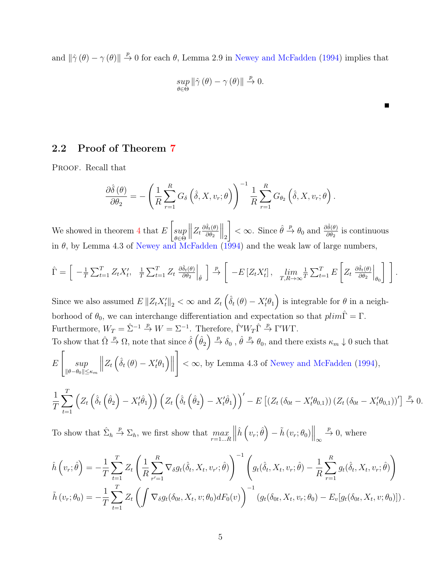<span id="page-4-0"></span>and  $\|\hat{\gamma}(\theta) - \gamma(\theta)\| \stackrel{p}{\to} 0$  for each  $\theta$ , Lemma 2.9 in [Newey and McFadden](#page-10-1) [\(1994\)](#page-10-1) implies that

$$
\sup_{\theta \in \Theta} \|\hat{\gamma}(\theta) - \gamma(\theta)\| \xrightarrow{p} 0.
$$

Е

2.2 Proof of Theorem [7](#page-0-0)

PROOF. Recall that

$$
\frac{\partial \hat{\delta}(\theta)}{\partial \theta_2} = -\left(\frac{1}{R}\sum_{r=1}^R G_{\delta}\left(\hat{\delta}, X, v_r; \theta\right)\right)^{-1} \frac{1}{R}\sum_{r=1}^R G_{\theta_2}\left(\hat{\delta}, X, v_r; \theta\right).
$$

We showed in theorem  $4$  that  $E$  $\lceil$ sup θ∈Θ  $\bigg\}$  $Z_t \frac{\partial \hat{\delta}_t(\theta)}{\partial \theta_2}$  $\partial\theta_2$  $\big\|_2$  $\left\{\n\prec \infty$ . Since  $\hat{\theta} \stackrel{p}{\rightarrow} \theta_0$  and  $\frac{\partial \hat{\delta}(\theta)}{\partial \theta_2}$  is continuous in  $\theta$ , by Lemma 4.3 of [Newey and McFadden](#page-10-1) [\(1994\)](#page-10-1) and the weak law of large numbers,

$$
\hat{\Gamma} = \left[ \left. -\frac{1}{T} \sum_{t=1}^{T} Z_t X_t', \left. \frac{1}{T} \sum_{t=1}^{T} Z_t \left. \frac{\partial \hat{\delta}_t(\theta)}{\partial \theta_2} \right|_{\hat{\theta}} \right. \right] \xrightarrow{\mathcal{P}} \left[ \left. -E \left[ Z_t X_t' \right], \left. \lim_{T, R \to \infty} \frac{1}{T} \sum_{t=1}^{T} E \left[ Z_t \left. \frac{\partial \hat{\delta}_t(\theta)}{\partial \theta_2} \right|_{\theta_0} \right] \right. \right].
$$

Since we also assumed  $E\|Z_tX_t'\|_2 < \infty$  and  $Z_t\left(\hat{\delta}_t(\theta) - X_t'\theta_1\right)$  is integrable for  $\theta$  in a neighborhood of  $\theta_0$ , we can interchange differentiation and expectation so that  $plim\hat{\Gamma} = \Gamma$ . Furthermore,  $W_T = \hat{\Sigma}^{-1} \stackrel{p}{\rightarrow} W = \Sigma^{-1}$ . Therefore,  $\hat{\Gamma}' W_T \hat{\Gamma} \stackrel{p}{\rightarrow} \Gamma' W \Gamma$ .

To show that 
$$
\hat{\Omega} \stackrel{p}{\rightarrow} \Omega
$$
, note that since  $\hat{\delta} \left( \hat{\theta}_2 \right) \stackrel{p}{\rightarrow} \delta_0$ ,  $\hat{\theta} \stackrel{p}{\rightarrow} \theta_0$ , and there exists  $\kappa_m \downarrow 0$  such that  $E\left[\sup_{\|\theta-\theta_0\| \leq \kappa_m} \left\| Z_t \left( \hat{\delta}_t \left( \theta \right) - X_t' \theta_1 \right) \right\| \right] < \infty$ , by Lemma 4.3 of Newey and McFadden (1994),

$$
\frac{1}{T} \sum_{t=1}^T \left( Z_t \left( \hat{\delta}_t \left( \hat{\theta}_2 \right) - X_t' \hat{\theta}_1 \right) \right) \left( Z_t \left( \hat{\delta}_t \left( \hat{\theta}_2 \right) - X_t' \hat{\theta}_1 \right) \right)' - E \left[ \left( Z_t \left( \delta_{0t} - X_t' \theta_{0,1} \right) \right) \left( Z_t \left( \delta_{0t} - X_t' \theta_{0,1} \right) \right)' \right] \xrightarrow{p} 0.
$$

To show that  $\hat{\Sigma}_h \stackrel{p}{\rightarrow} \Sigma_h$ , we first show that  $\max_{r=1...R}$  $\begin{array}{c} \begin{array}{c} \begin{array}{c} \begin{array}{c} \end{array}\\ \end{array} \end{array} \end{array}$  $\hat{h}\left(v_r;\hat{\theta}\right) - \tilde{h}\left(v_r;\theta_0\right)\Big\|_{\infty} \stackrel{p}{\rightarrow} 0$ , where

$$
\hat{h}(v_r; \hat{\theta}) = -\frac{1}{T} \sum_{t=1}^T Z_t \left( \frac{1}{R} \sum_{r'=1}^R \nabla_{\delta} g_t(\hat{\delta}_t, X_t, v_{r'}; \hat{\theta}) \right)^{-1} \left( g_t(\hat{\delta}_t, X_t, v_r; \hat{\theta}) - \frac{1}{R} \sum_{r=1}^R g_t(\hat{\delta}_t, X_t, v_r; \hat{\theta}) \right) \n\tilde{h}(v_r; \theta_0) = -\frac{1}{T} \sum_{t=1}^T Z_t \left( \int \nabla_{\delta} g_t(\delta_{0t}, X_t, v; \theta_0) dF_0(v) \right)^{-1} \left( g_t(\delta_{0t}, X_t, v_r; \theta_0) - E_v[g_t(\delta_{0t}, X_t, v; \theta_0)] \right).
$$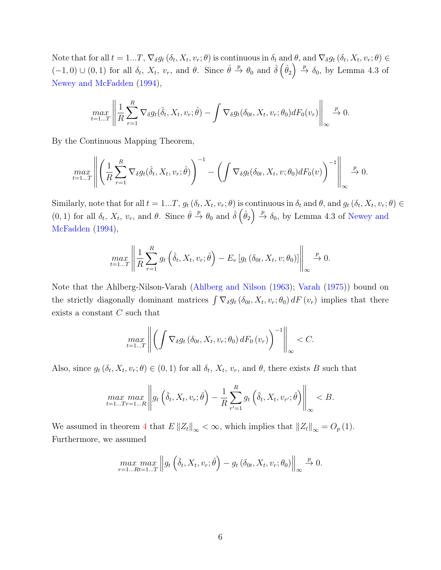<span id="page-5-0"></span>Note that for all  $t = 1...T$ ,  $\nabla_{\delta} g_t(\delta_t, X_t, v_r; \theta)$  is continuous in  $\delta_t$  and  $\theta$ , and  $\nabla_{\delta} g_t(\delta_t, X_t, v_r; \theta) \in$  $(-1,0) \cup (0,1)$  for all  $\delta_t$ ,  $X_t$ ,  $v_r$ , and  $\theta$ . Since  $\hat{\theta} \stackrel{p}{\rightarrow} \theta_0$  and  $\hat{\delta}(\hat{\theta}_2) \stackrel{p}{\rightarrow} \delta_0$ , by Lemma 4.3 of [Newey and McFadden](#page-10-1) [\(1994\)](#page-10-1),

$$
\max_{t=1...T} \left\| \frac{1}{R} \sum_{r=1}^R \nabla_{\delta} g_t(\hat{\delta}_t, X_t, v_r; \hat{\theta}) - \int \nabla_{\delta} g_t(\delta_{0t}, X_t, v_r; \theta_0) dF_0(v_r) \right\|_{\infty} \stackrel{p}{\to} 0.
$$

By the Continuous Mapping Theorem,

$$
\max_{t=1...T} \left\| \left( \frac{1}{R} \sum_{r=1}^{R} \nabla_{\delta} g_t(\hat{\delta}_t, X_t, v_r; \hat{\theta}) \right)^{-1} - \left( \int \nabla_{\delta} g_t(\delta_{0t}, X_t, v; \theta_0) dF_0(v) \right)^{-1} \right\|_{\infty} \stackrel{p}{\to} 0.
$$

Similarly, note that for all  $t = 1...T$ ,  $g_t(\delta_t, X_t, v_r; \theta)$  is continuous in  $\delta_t$  and  $\theta$ , and  $g_t(\delta_t, X_t, v_r; \theta) \in$  $(0, 1)$  for all  $\delta_t$ ,  $X_t$ ,  $v_r$ , and  $\theta$ . Since  $\hat{\theta} \stackrel{p}{\rightarrow} \theta_0$  and  $\hat{\delta}(\hat{\theta}_2) \stackrel{p}{\rightarrow} \delta_0$ , by Lemma 4.3 of [Newey and](#page-10-1) [McFadden](#page-10-1) [\(1994\)](#page-10-1),

$$
\max_{t=1...T} \left\| \frac{1}{R} \sum_{r=1}^{R} g_t \left( \hat{\delta}_t, X_t, v_r; \hat{\theta} \right) - E_v \left[ g_t \left( \delta_{0t}, X_t, v; \theta_0 \right) \right] \right\|_{\infty} \stackrel{p}{\to} 0.
$$

Note that the Ahlberg-Nilson-Varah [\(Ahlberg and Nilson](#page-10-2) [\(1963\)](#page-10-2); [Varah](#page-10-3) [\(1975\)](#page-10-3)) bound on the strictly diagonally dominant matrices  $\int \nabla_{\delta} g_t(\delta_{0t}, X_t, v_r; \theta_0) dF(v_r)$  implies that there exists a constant C such that

$$
\max_{t=1...T}\left\|\left(\int \nabla_{\delta}g_t\left(\delta_{0t}, X_t, v_r; \theta_0\right)dF_0\left(v_r\right)\right)^{-1}\right\|_{\infty} < C.
$$

Also, since  $g_t(\delta_t, X_t, v_r; \theta) \in (0, 1)$  for all  $\delta_t, X_t, v_r$ , and  $\theta$ , there exists B such that

$$
\max_{t=1...Tr=1...R} \left\| g_t \left( \hat{\delta}_t, X_t, v_r; \hat{\theta} \right) - \frac{1}{R} \sum_{r'=1}^R g_t \left( \hat{\delta}_t, X_t, v_{r'}; \hat{\theta} \right) \right\|_{\infty} < B.
$$

We assumed in theorem [4](#page-0-0) that  $E \|Z_t\|_{\infty} < \infty$ , which implies that  $||Z_t||_{\infty} = O_p(1)$ . Furthermore, we assumed

$$
\max_{r=1...Rt=1...T} \left\| g_t \left( \hat{\delta}_t, X_t, v_r; \hat{\theta} \right) - g_t \left( \delta_{0t}, X_t, v_r; \theta_0 \right) \right\|_{\infty} \stackrel{p}{\to} 0.
$$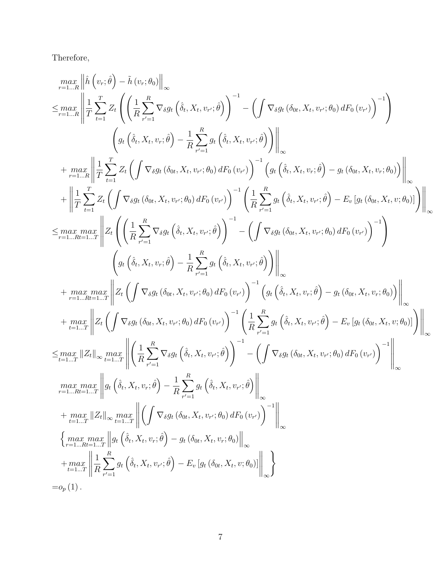Therefore,

$$
\begin{split} &\max_{r=1...R} \left\| \hat{h}\left(v_r;\hat{\theta}\right) - \hat{h}\left(v_r;\theta_0\right) \right\|_{\infty} \\ \leq &\max_{r=1...R} \left\| \frac{1}{T} \sum_{t=1}^{T} Z_t \left( \left( \frac{1}{R} \sum_{r'=1}^{R} \nabla_{\delta} g_t \left( \hat{\delta}_t, X_t, v_r ; \hat{\theta} \right) \right)^{-1} - \left( \int \nabla_{\delta} g_t \left( \delta_{0t}, X_t, v_r ; \theta_0 \right) dF_0 \left( v_r \right) \right)^{-1} \right) \\ &\qquad \qquad + \max_{r=1...R} \left\| \frac{1}{T} \sum_{t=1}^{T} Z_t \left( \int \nabla_{\delta} g_t \left( \delta_{0t}, X_t, v_r ; \hat{\theta} \right) dF_0 \left( v_r \right) \right)^{-1} \left( g_t \left( \hat{\delta}_t, X_t, v_r ; \hat{\theta} \right) - g_t \left( \delta_{0t}, X_t, v_r ; \theta_0 \right) \right) \right\|_{\infty} \\ &+ \left\| \frac{1}{T} \sum_{t=1}^{T} Z_t \left( \int \nabla_{\delta} g_t \left( \delta_{0t}, X_t, v_r ; \theta_0 \right) dF_0 \left( v_r \right) \right)^{-1} \left( g_t \left( \hat{\delta}_t, X_t, v_r ; \hat{\theta} \right) - g_t \left( \delta_{0t}, X_t, v_r ; \theta_0 \right) \right) \right\|_{\infty} \\ \leq &\max_{r=1...R+L} \max_{r=1} \left\| Z_t \left( \left( \frac{1}{R} \sum_{r'=1}^{R} \nabla_{\delta} g_t \left( \hat{\delta}_t, X_t, v_r ; \hat{\theta} \right) \right)^{-1} - \left( \int \nabla_{\delta} g_t \left( \delta_{0t}, X_t, v_r ; \hat{\theta} \right) dF_0 \left( v_r \right) \right)^{-1} \right) \\ &\qquad \qquad \left( g_t \left( \hat{\delta}_t, X_t, v_r ; \hat{\theta} \right) - \frac{1}{R} \sum_{r'=1}^{R} g_t \left( \hat{\delta}_t, X_t, v_r ; \hat{\theta} \right
$$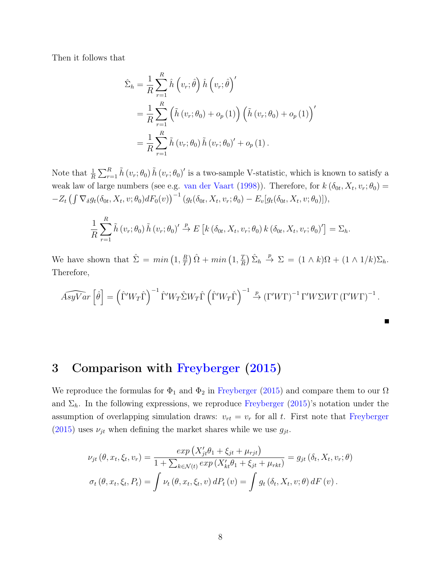<span id="page-7-0"></span>Then it follows that

$$
\hat{\Sigma}_{h} = \frac{1}{R} \sum_{r=1}^{R} \hat{h} (v_{r}; \hat{\theta}) \hat{h} (v_{r}; \hat{\theta})'
$$
\n
$$
= \frac{1}{R} \sum_{r=1}^{R} (\tilde{h} (v_{r}; \theta_{0}) + o_{p}(1)) (\tilde{h} (v_{r}; \theta_{0}) + o_{p}(1))'
$$
\n
$$
= \frac{1}{R} \sum_{r=1}^{R} \tilde{h} (v_{r}; \theta_{0}) \tilde{h} (v_{r}; \theta_{0})' + o_{p}(1).
$$

Note that  $\frac{1}{R} \sum_{r=1}^{R} \tilde{h}(v_r; \theta_0) \tilde{h}(v_r; \theta_0)'$  is a two-sample V-statistic, which is known to satisfy a weak law of large numbers (see e.g. [van der Vaart](#page-10-4) [\(1998\)](#page-10-4)). Therefore, for  $k(\delta_{0t}, X_t, v_r; \theta_0) =$  $-Z_t \left( \int \nabla_{\delta} g_t(\delta_{0t}, X_t, v; \theta_0) dF_0(v) \right)^{-1} \left( g_t(\delta_{0t}, X_t, v_r; \theta_0) - E_v[g_t(\delta_{0t}, X_t, v; \theta_0)] \right),$ 

$$
\frac{1}{R} \sum_{r=1}^{R} \tilde{h} \left( v_r; \theta_0 \right) \tilde{h} \left( v_r; \theta_0 \right)' \stackrel{p}{\rightarrow} E \left[ k \left( \delta_{0t}, X_t, v_r; \theta_0 \right) k \left( \delta_{0t}, X_t, v_r; \theta_0 \right)' \right] = \Sigma_h.
$$

We have shown that  $\hat{\Sigma} = min(1, \frac{R}{T})$  $\left(\frac{R}{T}\right)\hat{\Omega}+\min\left(1,\frac{T}{R}\right)$  $\frac{T}{R}$ )  $\hat{\Sigma}_h \stackrel{p}{\rightarrow} \Sigma = (1 \wedge k)\Omega + (1 \wedge 1/k)\Sigma_h.$ Therefore,

$$
\widehat{AsyVar} \left[ \hat{\theta} \right] = \left( \hat{\Gamma}' W_T \hat{\Gamma} \right)^{-1} \hat{\Gamma}' W_T \hat{\Sigma} W_T \hat{\Gamma} \left( \hat{\Gamma}' W_T \hat{\Gamma} \right)^{-1} \stackrel{p}{\rightarrow} \left( \Gamma' W \Gamma \right)^{-1} \Gamma' W \Sigma W \Gamma \left( \Gamma' W \Gamma \right)^{-1}.
$$

## 3 Comparison with [Freyberger](#page-10-0) [\(2015\)](#page-10-0)

We reproduce the formulas for  $\Phi_1$  and  $\Phi_2$  in [Freyberger](#page-10-0) [\(2015\)](#page-10-0) and compare them to our  $\Omega$ and  $\Sigma_h$ . In the following expressions, we reproduce [Freyberger](#page-10-0) [\(2015\)](#page-10-0)'s notation under the assumption of overlapping simulation draws:  $v_{rt} = v_r$  for all t. First note that [Freyberger](#page-10-0)  $(2015)$  uses  $\nu_{jt}$  when defining the market shares while we use  $g_{jt}$ .

$$
\nu_{jt}(\theta, x_t, \xi_t, v_r) = \frac{\exp(X'_{jt}\theta_1 + \xi_{jt} + \mu_{rjt})}{1 + \sum_{k \in \mathcal{N}(t)} \exp(X'_{kt}\theta_1 + \xi_{jt} + \mu_{rkt})} = g_{jt}(\delta_t, X_t, v_r; \theta)
$$

$$
\sigma_t(\theta, x_t, \xi_t, P_t) = \int \nu_t(\theta, x_t, \xi_t, v) dP_t(v) = \int g_t(\delta_t, X_t, v; \theta) dF(v).
$$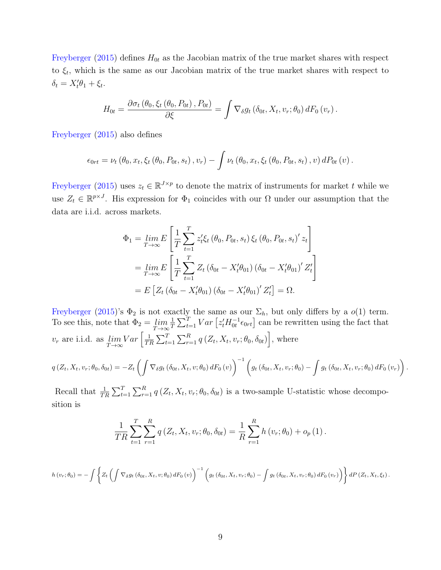<span id="page-8-0"></span>[Freyberger](#page-10-0) [\(2015\)](#page-10-0) defines  $H_{0t}$  as the Jacobian matrix of the true market shares with respect to  $\xi_t$ , which is the same as our Jacobian matrix of the true market shares with respect to  $\delta_t = X_t' \theta_1 + \xi_t.$ 

$$
H_{0t} = \frac{\partial \sigma_t (\theta_0, \xi_t (\theta_0, P_{0t}), P_{0t})}{\partial \xi} = \int \nabla_{\delta} g_t (\delta_{0t}, X_t, v_r; \theta_0) dF_0 (v_r).
$$

[Freyberger](#page-10-0) [\(2015\)](#page-10-0) also defines

$$
\epsilon_{0rt} = \nu_t (\theta_0, x_t, \xi_t (\theta_0, P_{0t}, s_t), v_r) - \int \nu_t (\theta_0, x_t, \xi_t (\theta_0, P_{0t}, s_t), v) dP_{0t} (v).
$$

[Freyberger](#page-10-0) [\(2015\)](#page-10-0) uses  $z_t \in \mathbb{R}^{J \times p}$  to denote the matrix of instruments for market t while we use  $Z_t \in \mathbb{R}^{p \times J}$ . His expression for  $\Phi_1$  coincides with our  $\Omega$  under our assumption that the data are i.i.d. across markets.

$$
\Phi_{1} = \lim_{T \to \infty} E\left[\frac{1}{T} \sum_{t=1}^{T} z_{t}' \xi_{t} (\theta_{0}, P_{0t}, s_{t}) \xi_{t} (\theta_{0}, P_{0t}, s_{t})' z_{t}\right]
$$
\n
$$
= \lim_{T \to \infty} E\left[\frac{1}{T} \sum_{t=1}^{T} Z_{t} (\delta_{0t} - X_{t}' \theta_{01}) (\delta_{0t} - X_{t}' \theta_{01})' Z_{t}'\right]
$$
\n
$$
= E\left[Z_{t} (\delta_{0t} - X_{t}' \theta_{01}) (\delta_{0t} - X_{t}' \theta_{01})' Z_{t}'\right] = \Omega.
$$

[Freyberger](#page-10-0) [\(2015\)](#page-10-0)'s  $\Phi_2$  is not exactly the same as our  $\Sigma_h$ , but only differs by a  $o(1)$  term. To see this, note that  $\Phi_2 = \lim_{T \to \infty}$ 1  $\frac{1}{T} \sum_{t=1}^{T} Var \left[ z_t' H_{0t}^{-1} \epsilon_{0rt} \right]$  can be rewritten using the fact that  $v_r$  are i.i.d. as  $\lim_{T \to \infty} Var\left[\frac{1}{T^2}\right]$  $\frac{1}{TR} \sum_{t=1}^{T} \sum_{r=1}^{R} q(Z_t, X_t, v_r; \theta_0, \delta_{0t})\Big]$ , where

$$
q(Z_t, X_t, v_r; \theta_0, \delta_{0t}) = -Z_t \left( \int \nabla_{\delta} g_t \left( \delta_{0t}, X_t, v; \theta_0 \right) dF_0 \left( v \right) \right)^{-1} \left( g_t \left( \delta_{0t}, X_t, v_r; \theta_0 \right) - \int g_t \left( \delta_{0t}, X_t, v_r; \theta_0 \right) dF_0 \left( v_r \right) \right).
$$

Recall that  $\frac{1}{TR} \sum_{t=1}^T \sum_{r=1}^R q(Z_t, X_t, v_r; \theta_0, \delta_{0t})$  is a two-sample U-statistic whose decomposition is

$$
\frac{1}{TR} \sum_{t=1}^{T} \sum_{r=1}^{R} q(Z_t, X_t, v_r; \theta_0, \delta_{0t}) = \frac{1}{R} \sum_{r=1}^{R} h(v_r; \theta_0) + o_p(1).
$$

$$
h(v_r; \theta_0) = -\int \left\{ Z_t \left( \int \nabla_{\delta} g_t \left( \delta_{0t}, X_t, v; \theta_0 \right) dF_0 \left( v \right) \right)^{-1} \left( g_t \left( \delta_{0t}, X_t, v_r; \theta_0 \right) - \int g_t \left( \delta_{0t}, X_t, v_r; \theta_0 \right) dF_0 \left( v_r \right) \right) \right\} dP \left( Z_t, X_t, \xi_t \right).
$$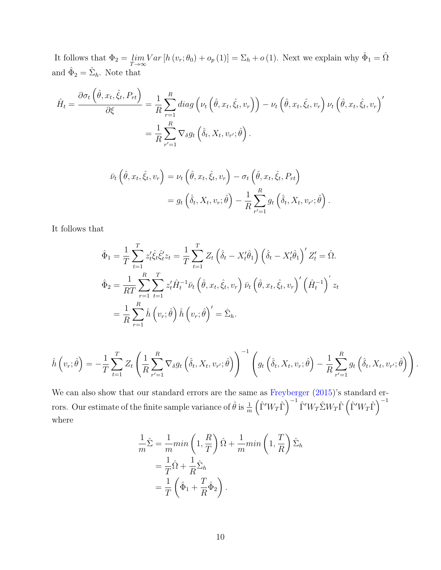<span id="page-9-0"></span>It follows that  $\Phi_2 = \lim_{T \to \infty} Var[h(v_r; \theta_0) + o_p(1)] = \Sigma_h + o(1)$ . Next we explain why  $\hat{\Phi}_1 = \hat{\Omega}$ and  $\hat{\Phi}_2 = \hat{\Sigma}_h$ . Note that

$$
\hat{H}_t = \frac{\partial \sigma_t \left( \hat{\theta}, x_t, \hat{\xi}_t, P_{rt} \right)}{\partial \xi} = \frac{1}{R} \sum_{r=1}^R diag \left( \nu_t \left( \hat{\theta}, x_t, \hat{\xi}_t, v_r \right) \right) - \nu_t \left( \hat{\theta}, x_t, \hat{\xi}_t, v_r \right) \nu_t \left( \hat{\theta}, x_t, \hat{\xi}_t, v_r \right)'
$$
\n
$$
= \frac{1}{R} \sum_{r'=1}^R \nabla_{\delta} g_t \left( \hat{\delta}_t, X_t, v_{r'}; \hat{\theta} \right).
$$

$$
\bar{\nu}_t \left( \hat{\theta}, x_t, \hat{\xi}_t, v_r \right) = \nu_t \left( \hat{\theta}, x_t, \hat{\xi}_t, v_r \right) - \sigma_t \left( \hat{\theta}, x_t, \hat{\xi}_t, P_{rt} \right)
$$
\n
$$
= g_t \left( \hat{\delta}_t, X_t, v_r; \hat{\theta} \right) - \frac{1}{R} \sum_{r'=1}^R g_t \left( \hat{\delta}_t, X_t, v_{r'}; \hat{\theta} \right)
$$

.

It follows that

$$
\hat{\Phi}_1 = \frac{1}{T} \sum_{t=1}^T z_t' \hat{\xi}_t \hat{\xi}_t' z_t = \frac{1}{T} \sum_{t=1}^T Z_t \left( \hat{\delta}_t - X_t' \hat{\theta}_1 \right) \left( \hat{\delta}_t - X_t' \hat{\theta}_1 \right)' Z_t' = \hat{\Omega}.
$$
  
\n
$$
\hat{\Phi}_2 = \frac{1}{RT} \sum_{r=1}^R \sum_{t=1}^T z_t' \hat{H}_t^{-1} \bar{\nu}_t \left( \hat{\theta}, x_t, \hat{\xi}_t, v_r \right) \bar{\nu}_t \left( \hat{\theta}, x_t, \hat{\xi}_t, v_r \right)' \left( \hat{H}_t^{-1} \right)' z_t
$$
  
\n
$$
= \frac{1}{R} \sum_{r=1}^R \hat{h} \left( v_r; \hat{\theta} \right) \hat{h} \left( v_r; \hat{\theta} \right)' = \hat{\Sigma}_h.
$$

$$
\hat{h}\left(v_r;\hat{\theta}\right) = -\frac{1}{T}\sum_{t=1}^T Z_t \left(\frac{1}{R}\sum_{r'=1}^R \nabla_{\delta}g_t\left(\hat{\delta}_t,X_t,v_{r'};\hat{\theta}\right)\right)^{-1} \left(g_t\left(\hat{\delta}_t,X_t,v_r;\hat{\theta}\right) - \frac{1}{R}\sum_{r'=1}^R g_t\left(\hat{\delta}_t,X_t,v_{r'};\hat{\theta}\right)\right).
$$

We can also show that our standard errors are the same as [Freyberger](#page-10-0)  $(2015)$ 's standard errors. Our estimate of the finite sample variance of  $\hat{\theta}$  is  $\frac{1}{m}\left(\hat{\Gamma}'W_T\hat{\Gamma}\right)^{-1}\hat{\Gamma}'W_T\hat{\Sigma}W_T\hat{\Gamma}\left(\hat{\Gamma}'W_T\hat{\Gamma}\right)^{-1}$ where

$$
\frac{1}{m}\hat{\Sigma} = \frac{1}{m}min\left(1, \frac{R}{T}\right)\hat{\Omega} + \frac{1}{m}min\left(1, \frac{T}{R}\right)\hat{\Sigma}_h
$$

$$
= \frac{1}{T}\hat{\Omega} + \frac{1}{R}\hat{\Sigma}_h
$$

$$
= \frac{1}{T}\left(\hat{\Phi}_1 + \frac{T}{R}\hat{\Phi}_2\right).
$$